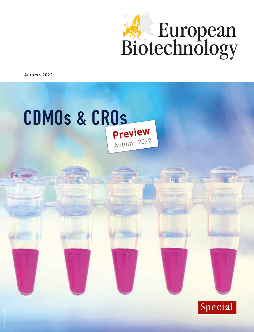

Autumn 2022



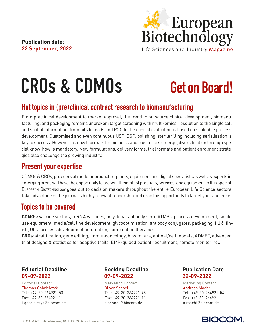**Publication date: 22 September, 2022** European<br>Biotechnology Life Sciences and Industry Magazine

# CROs & CDMOs

## Get on Board!

## Hot topics in (pre)clinical contract research to biomanufacturing

From preclinical development to market approval, the trend to outsource clinical development, biomanufacturing, and packaging remains unbroken: target screening with multi-omics, resolution to the single cell and spatial information, from hits to leads and POC to the clinical evaluation is based on scaleable process development. Customised and even continuous USP, DSP, polishing, sterile filling including serialisation is key to success. However, as novel formats for biologics and biosimilars emerge, diversification through special know-how is mandatory. New formulations, delivery forms, trial formats and patient enrolment strategies also challenge the growing industry.

### Present your expertise

CDMOs & CROs, providers of modular production plants, equipment and digital specialists as well as experts in emerging areas will have the opportunity to present their latest products, services, and equipment in this special. European Biotechnology goes out to decision makers throughout the entire European Life Science sectors. Take advantage of the journal's highly relevant readership and grab this opportunity to target your audience!

### Topics to be covered

**CDMOs:** vaccine vectors, mRNA vaccines, polyclonal antibody sera, ATMPs, process development, single use equipment, media/cell line development, glycooptimisation, antibody conjugates, packaging, fill & finish, QbD, process development automation, combination therapies...

**CROs**: stratification, gene editing, immunooncology, biosimilars, animal/cell models, ADMET, advanced trial designs & statistics for adaptive trails, EMR-guided patient recruitment, remote monitoring...

#### **Editorial Deadline 09-09-2022**

Editorial Contact: Marketing Contact: Marketing Contact: Thomas Gabrielczyk Oliver Schnell Andreas Macht Tel.: +49-30-264921-50 Tel.: +49-30-264921-45 Tel.: +49-30-264921-54 Fax: +49-30-264921-11 Fax: +49-30-264921-11 Fax: +49-30-264921-11 t.gabrielczyk@biocom.de o.schnell@biocom.de a.macht@biocom.de

#### **Booking Deadline 09-09-2022**

#### **Publication Date 22-09-2022**